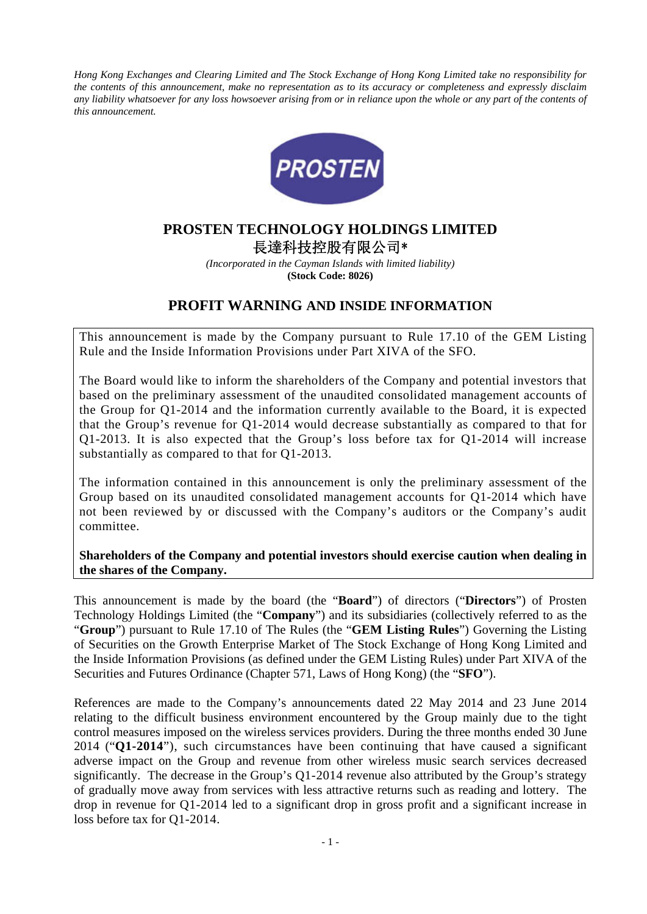*Hong Kong Exchanges and Clearing Limited and The Stock Exchange of Hong Kong Limited take no responsibility for the contents of this announcement, make no representation as to its accuracy or completeness and expressly disclaim*  any liability whatsoever for any loss howsoever arising from or in reliance upon the whole or any part of the contents of *this announcement.* 



# **PROSTEN TECHNOLOGY HOLDINGS LIMITED**  長達科技控股有限公司\*

*(Incorporated in the Cayman Islands with limited liability)*  **(Stock Code: 8026)** 

## **PROFIT WARNING AND INSIDE INFORMATION**

This announcement is made by the Company pursuant to Rule 17.10 of the GEM Listing Rule and the Inside Information Provisions under Part XIVA of the SFO.

The Board would like to inform the shareholders of the Company and potential investors that based on the preliminary assessment of the unaudited consolidated management accounts of the Group for Q1-2014 and the information currently available to the Board, it is expected that the Group's revenue for Q1-2014 would decrease substantially as compared to that for Q1-2013. It is also expected that the Group's loss before tax for Q1-2014 will increase substantially as compared to that for Q1-2013.

The information contained in this announcement is only the preliminary assessment of the Group based on its unaudited consolidated management accounts for Q1-2014 which have not been reviewed by or discussed with the Company's auditors or the Company's audit committee.

#### **Shareholders of the Company and potential investors should exercise caution when dealing in the shares of the Company.**

This announcement is made by the board (the "**Board**") of directors ("**Directors**") of Prosten Technology Holdings Limited (the "**Company**") and its subsidiaries (collectively referred to as the "**Group**") pursuant to Rule 17.10 of The Rules (the "**GEM Listing Rules**") Governing the Listing of Securities on the Growth Enterprise Market of The Stock Exchange of Hong Kong Limited and the Inside Information Provisions (as defined under the GEM Listing Rules) under Part XIVA of the Securities and Futures Ordinance (Chapter 571, Laws of Hong Kong) (the "**SFO**").

References are made to the Company's announcements dated 22 May 2014 and 23 June 2014 relating to the difficult business environment encountered by the Group mainly due to the tight control measures imposed on the wireless services providers. During the three months ended 30 June 2014 ("**Q1-2014**"), such circumstances have been continuing that have caused a significant adverse impact on the Group and revenue from other wireless music search services decreased significantly. The decrease in the Group's Q1-2014 revenue also attributed by the Group's strategy of gradually move away from services with less attractive returns such as reading and lottery. The drop in revenue for Q1-2014 led to a significant drop in gross profit and a significant increase in loss before tax for Q1-2014.